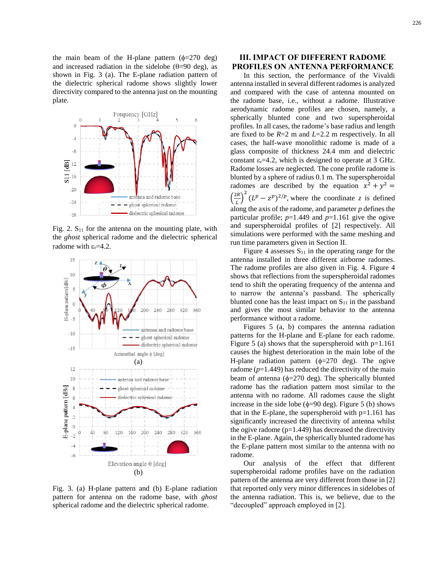the main beam of the H-plane pattern  $(\phi=270 \text{ deg})$ and increased radiation in the sidelobe  $(\theta=90 \text{ deg})$ , as shown in Fig. 3 (a). The E-plane radiation pattern of the dielectric spherical radome shows slightly lower directivity compared to the antenna just on the mounting plate.



Fig. 2.  $S_{11}$  for the antenna on the mounting plate, with the *ghost* spherical radome and the dielectric spherical radome with  $\varepsilon_r = 4.2$ .



Fig. 3. (a) H-plane pattern and (b) E-plane radiation pattern for antenna on the radome base, with *ghost* spherical radome and the dielectric spherical radome.

## **III. IMPACT OF DIFFERENT RADOME PROFILES ON ANTENNA PERFORMANCE**

In this section, the performance of the Vivaldi antenna installed in several different radomes is analyzed and compared with the case of antenna mounted on the radome base, i.e., without a radome. Illustrative aerodynamic radome profiles are chosen, namely, a spherically blunted cone and two superspheroidal profiles. In all cases, the radome's base radius and length are fixed to be *R*=2 m and *L*=2.2 m respectively. In all cases, the half-wave monolithic radome is made of a glass composite of thickness 24.4 mm and dielectric constant  $\varepsilon_r$ =4.2, which is designed to operate at 3 GHz. Radome losses are neglected. The cone profile radome is blunted by a sphere of radius 0.1 m. The superspheroidal radomes are described by the equation  $x^2 + y^2 =$  $\left(\frac{2R}{I}\right)$  $\left(\frac{2R}{L}\right)^2 (L^p - z^p)^{2/p}$ , where the coordinate *z* is defined along the axis of the radome, and parameter *p* defines the particular profile;  $p=1.449$  and  $p=1.161$  give the ogive and superspheroidal profiles of [2] respectively. All simulations were performed with the same meshing and run time parameters given in Section II.

Figure 4 assesses  $S_{11}$  in the operating range for the antenna installed in three different airborne radomes. The radome profiles are also given in Fig. 4. Figure 4 shows that reflections from the superspheroidal radomes tend to shift the operating frequency of the antenna and to narrow the antenna's passband. The spherically blunted cone has the least impact on  $S_{11}$  in the passband and gives the most similar behavior to the antenna performance without a radome.

Figures 5 (a, b) compares the antenna radiation patterns for the H-plane and E-plane for each radome. Figure 5 (a) shows that the superspheroid with  $p=1.161$ causes the highest deterioration in the main lobe of the H-plane radiation pattern  $(\phi=270 \text{ deg})$ . The ogive radome (*p*=1.449) has reduced the directivity of the main beam of antenna ( $\phi$ =270 deg). The spherically blunted radome has the radiation pattern most similar to the antenna with no radome. All radomes cause the slight increase in the side lobe ( $\phi$ =90 deg). Figure 5 (b) shows that in the E-plane, the superspheroid with  $p=1.161$  has significantly increased the directivity of antenna whilst the ogive radome  $(p=1.449)$  has decreased the directivity in the E-plane. Again, the spherically blunted radome has the E-plane pattern most similar to the antenna with no radome.

Our analysis of the effect that different superspheroidal radome profiles have on the radiation pattern of the antenna are very different from those in [2] that reported only very minor differences in sidelobes of the antenna radiation. This is, we believe, due to the "decoupled" approach employed in [2].